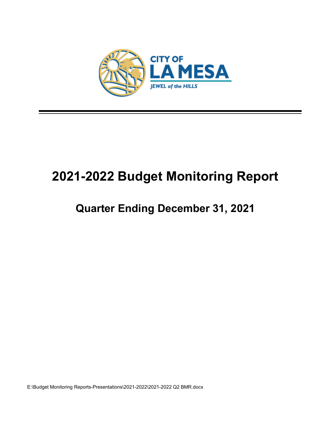

# **2021-2022 Budget Monitoring Report**

## **Quarter Ending December 31, 2021**

E:\Budget Monitoring Reports-Presentations\2021-2022\2021-2022 Q2 BMR.docx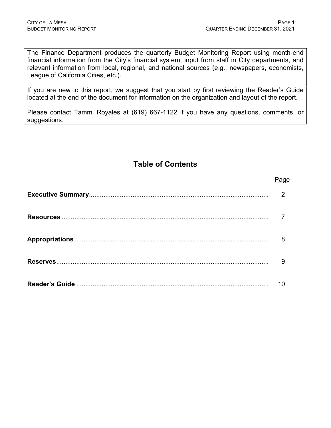The Finance Department produces the quarterly Budget Monitoring Report using month-end financial information from the City's financial system, input from staff in City departments, and relevant information from local, regional, and national sources (e.g., newspapers, economists, League of California Cities, etc.).

If you are new to this report, we suggest that you start by first reviewing the Reader's Guide located at the end of the document for information on the organization and layout of the report.

Please contact Tammi Royales at (619) 667-1122 if you have any questions, comments, or suggestions.

## **Table of Contents**

| Page |
|------|
| 2    |
|      |
| 8    |
| 9    |
| 10   |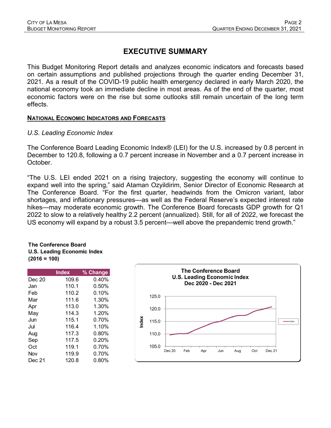## **EXECUTIVE SUMMARY**

This Budget Monitoring Report details and analyzes economic indicators and forecasts based on certain assumptions and published projections through the quarter ending December 31, 2021. As a result of the COVID-19 public health emergency declared in early March 2020, the national economy took an immediate decline in most areas. As of the end of the quarter, most economic factors were on the rise but some outlooks still remain uncertain of the long term effects.

#### **NATIONAL ECONOMIC INDICATORS AND FORECASTS**

#### *U.S. Leading Economic Index*

The Conference Board Leading Economic Index® (LEI) for the U.S. increased by 0.8 percent in December to 120.8, following a 0.7 percent increase in November and a 0.7 percent increase in October.

"The U.S. LEI ended 2021 on a rising trajectory, suggesting the economy will continue to expand well into the spring," said Ataman Ozyildirim, Senior Director of Economic Research at The Conference Board. "For the first quarter, headwinds from the Omicron variant, labor shortages, and inflationary pressures—as well as the Federal Reserve's expected interest rate hikes—may moderate economic growth. The Conference Board forecasts GDP growth for Q1 2022 to slow to a relatively healthy 2.2 percent (annualized). Still, for all of 2022, we forecast the US economy will expand by a robust 3.5 percent—well above the prepandemic trend growth."

#### **The Conference Board U.S. Leading Economic Index (2016 = 100)**

|        | <b>Index</b> | % Change |
|--------|--------------|----------|
| Dec 20 | 109.6        | 0.40%    |
| Jan    | 110.1        | 0.50%    |
| Feb    | 110.2        | 0.10%    |
| Mar    | 111.6        | 1.30%    |
| Apr    | 113.0        | 1.30%    |
| May    | 114.3        | 1.20%    |
| Jun    | 115.1        | 0.70%    |
| Jul    | 116.4        | 1.10%    |
| Aug    | 117.3        | $0.80\%$ |
| Sep    | 117.5        | 0.20%    |
| Oct    | 119.1        | $0.70\%$ |
| Nov    | 119.9        | 0.70%    |
| Dec 21 | 120.8        | $0.80\%$ |

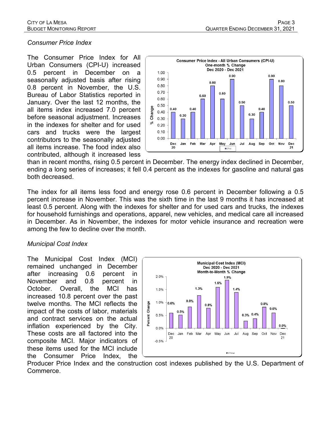#### *Consumer Price Index*

The Consumer Price Index for All Urban Consumers (CPI-U) increased 0.5 percent in December on a seasonally adjusted basis after rising 0.8 percent in November, the U.S. Bureau of Labor Statistics reported in January. Over the last 12 months, the all items index increased 7.0 percent before seasonal adjustment. Increases in the indexes for shelter and for used cars and trucks were the largest contributors to the seasonally adjusted all items increase. The food index also contributed, although it increased less



than in recent months, rising 0.5 percent in December. The energy index declined in December, ending a long series of increases; it fell 0.4 percent as the indexes for gasoline and natural gas both decreased.

The index for all items less food and energy rose 0.6 percent in December following a 0.5 percent increase in November. This was the sixth time in the last 9 months it has increased at least 0.5 percent. Along with the indexes for shelter and for used cars and trucks, the indexes for household furnishings and operations, apparel, new vehicles, and medical care all increased in December. As in November, the indexes for motor vehicle insurance and recreation were among the few to decline over the month.

#### *Municipal Cost Index*

The Municipal Cost Index (MCI) remained unchanged in December after increasing 0.6 percent in November and 0.8 percent in October. Overall, the MCI has increased 10.8 percent over the past twelve months. The MCI reflects the impact of the costs of labor, materials and contract services on the actual inflation experienced by the City. These costs are all factored into the composite MCI. Major indicators of these items used for the MCI include the Consumer Price Index, the



Producer Price Index and the construction cost indexes published by the U.S. Department of Commerce.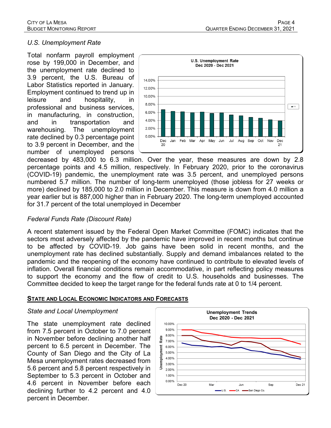#### *U.S. Unemployment Rate*

Total nonfarm payroll employment rose by 199,000 in December, and the unemployment rate declined to 3.9 percent, the U.S. Bureau of Labor Statistics reported in January. Employment continued to trend up in leisure and hospitality, in professional and business services, in manufacturing, in construction, and in transportation and warehousing. The unemployment rate declined by 0.3 percentage point to 3.9 percent in December, and the number of unemployed persons



decreased by 483,000 to 6.3 million. Over the year, these measures are down by 2.8 percentage points and 4.5 million, respectively. In February 2020, prior to the coronavirus (COVID-19) pandemic, the unemployment rate was 3.5 percent, and unemployed persons numbered 5.7 million. The number of long-term unemployed (those jobless for 27 weeks or more) declined by 185,000 to 2.0 million in December. This measure is down from 4.0 million a year earlier but is 887,000 higher than in February 2020. The long-term unemployed accounted for 31.7 percent of the total unemployed in December

#### *Federal Funds Rate (Discount Rate)*

A recent statement issued by the Federal Open Market Committee (FOMC) indicates that the sectors most adversely affected by the pandemic have improved in recent months but continue to be affected by COVID-19. Job gains have been solid in recent months, and the unemployment rate has declined substantially. Supply and demand imbalances related to the pandemic and the reopening of the economy have continued to contribute to elevated levels of inflation. Overall financial conditions remain accommodative, in part reflecting policy measures to support the economy and the flow of credit to U.S. households and businesses. The Committee decided to keep the target range for the federal funds rate at 0 to 1/4 percent.

#### **STATE AND LOCAL ECONOMIC INDICATORS AND FORECASTS**

#### *State and Local Unemployment*

The state unemployment rate declined from 7.5 percent in October to 7.0 percent in November before declining another half percent to 6.5 percent in December. The County of San Diego and the City of La Mesa unemployment rates decreased from 5.6 percent and 5.8 percent respectively in September to 5.3 percent in October and 4.6 percent in November before each declining further to 4.2 percent and 4.0 percent in December.

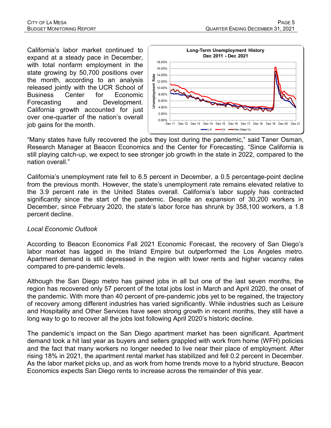California's labor market continued to expand at a steady pace in December, with total nonfarm employment in the state growing by 50,700 positions over the month, according to an analysis released jointly with the [UCR School of](https://ucreconomicforecast.org/)  [Business Center for Economic](https://ucreconomicforecast.org/)  [Forecasting and Development.](https://ucreconomicforecast.org/) California growth accounted for just over one-quarter of the nation's overall job gains for the month.



"Many states have fully recovered the jobs they lost during the pandemic," said [Taner Osman,](https://beaconecon.com/about-us/our-people/staff-bios/#tanerosman) Research Manager at Beacon Economics and the Center for Forecasting. "Since California is still playing catch-up, we expect to see stronger job growth in the state in 2022, compared to the nation overall."

California's unemployment rate fell to 6.5 percent in December, a 0.5 percentage-point decline from the previous month. However, the state's unemployment rate remains elevated relative to the 3.9 percent rate in the United States overall. California's labor supply has contracted significantly since the start of the pandemic. Despite an expansion of 30,200 workers in December, since February 2020, the state's labor force has shrunk by 358,100 workers, a 1.8 percent decline.

#### *Local Economic Outlook*

According to Beacon Economics Fall 2021 Economic Forecast, the recovery of San Diego's labor market has lagged in the Inland Empire but outperformed the Los Angeles metro. Apartment demand is still depressed in the region with lower rents and higher vacancy rates compared to pre-pandemic levels.

Although the San Diego metro has gained jobs in all but one of the last seven months, the region has recovered only 57 percent of the total jobs lost in March and April 2020, the onset of the pandemic. With more than 40 percent of pre-pandemic jobs yet to be regained, the trajectory of recovery among different industries has varied significantly. While industries such as Leisure and Hospitality and Other Services have seen strong growth in recent months, they still have a long way to go to recover all the jobs lost following April 2020's historic decline.

The pandemic's impact on the San Diego apartment market has been significant. Apartment demand took a hit last year as buyers and sellers grappled with work from home (WFH) policies and the fact that many workers no longer needed to live near their place of employment. After rising 18% in 2021, the apartment rental market has stabilized and fell 0.2 percent in December. As the labor market picks up, and as work from home trends move to a hybrid structure, Beacon Economics expects San Diego rents to increase across the remainder of this year.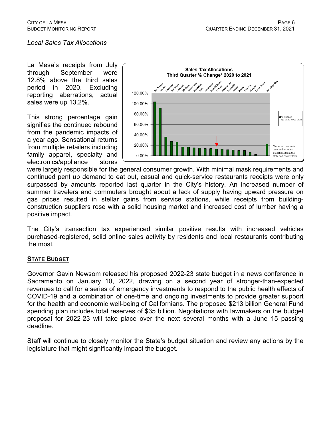#### *Local Sales Tax Allocations*

La Mesa's receipts from July through September were 12.8% above the third sales period in 2020. Excluding reporting aberrations, actual sales were up 13.2%.

This strong percentage gain signifies the continued rebound from the pandemic impacts of a year ago. Sensational returns from multiple retailers including family apparel, specialty and electronics/appliance stores



were largely responsible for the general consumer growth. With minimal mask requirements and continued pent up demand to eat out, casual and quick-service restaurants receipts were only surpassed by amounts reported last quarter in the City's history. An increased number of summer travelers and commuters brought about a lack of supply having upward pressure on gas prices resulted in stellar gains from service stations, while receipts from buildingconstruction suppliers rose with a solid housing market and increased cost of lumber having a positive impact.

The City's transaction tax experienced similar positive results with increased vehicles purchased-registered, solid online sales activity by residents and local restaurants contributing the most.

#### **STATE BUDGET**

Governor Gavin Newsom released his proposed 2022-23 state budget in a news conference in Sacramento on January 10, 2022, drawing on a second year of stronger-than-expected revenues to call for a series of emergency investments to respond to the public health effects of COVID-19 and a combination of one-time and ongoing investments to provide greater support for the health and economic well-being of Californians. The proposed \$213 billion General Fund spending plan includes total reserves of \$35 billion. Negotiations with lawmakers on the budget proposal for 2022-23 will take place over the next several months with a June 15 passing deadline.

Staff will continue to closely monitor the State's budget situation and review any actions by the legislature that might significantly impact the budget.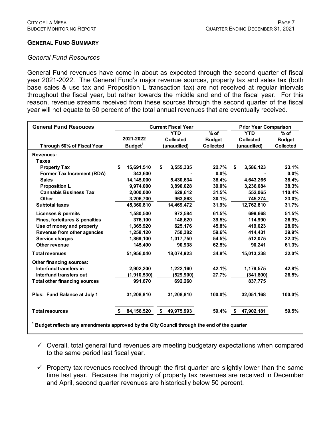#### **GENERAL FUND SUMMARY**

#### *General Fund Resources*

General Fund revenues have come in about as expected through the second quarter of fiscal year 2021-2022. The General Fund's major revenue sources, property tax and sales tax (both base sales & use tax and Proposition L transaction tax) are not received at regular intervals throughout the fiscal year, but rather towards the middle and end of the fiscal year. For this reason, revenue streams received from these sources through the second quarter of the fiscal year will not equate to 50 percent of the total annual revenues that are eventually received.

| <b>General Fund Resouces</b>                                                                            | <b>Current Fiscal Year</b> |                     |                      |              | <b>Prior Year Comparison</b> |                  |              |                  |
|---------------------------------------------------------------------------------------------------------|----------------------------|---------------------|----------------------|--------------|------------------------------|------------------|--------------|------------------|
|                                                                                                         |                            |                     | $%$ of<br><b>YTD</b> |              |                              | <b>YTD</b>       | $%$ of       |                  |
|                                                                                                         |                            | 2021-2022           | <b>Collected</b>     |              | <b>Budget</b>                | <b>Collected</b> |              | <b>Budget</b>    |
| Through 50% of Fiscal Year                                                                              |                            | Budget <sup>1</sup> |                      | (unaudited)  | <b>Collected</b>             | (unaudited)      |              | <b>Collected</b> |
| <b>Revenues:</b>                                                                                        |                            |                     |                      |              |                              |                  |              |                  |
| <b>Taxes</b>                                                                                            |                            |                     |                      |              |                              |                  |              |                  |
| <b>Property Tax</b>                                                                                     | \$                         | 15,691,510          | \$                   | 3,555,335    | 22.7%                        | \$               | 3,586,123    | 23.1%            |
| <b>Former Tax Increment (RDA)</b>                                                                       |                            | 343,600             |                      |              | 0.0%                         |                  |              | 0.0%             |
| <b>Sales</b>                                                                                            |                            | 14,145,000          |                      | 5,430,634    | 38.4%                        |                  | 4,643,265    | 38.4%            |
| <b>Proposition L</b>                                                                                    |                            | 9,974,000           |                      | 3,890,028    | 39.0%                        |                  | 3,236,084    | 38.3%            |
| <b>Cannabis Business Tax</b>                                                                            |                            | 2,000,000           |                      | 629,612      | 31.5%                        |                  | 552,065      | 110.4%           |
| <b>Other</b>                                                                                            |                            | 3,206,700           |                      | 963,863      | 30.1%                        |                  | 745,274      | 23.0%            |
| <b>Subtotal taxes</b>                                                                                   |                            | 45,360,810          |                      | 14,469,472   | 31.9%                        |                  | 12,762,810   | 31.7%            |
| <b>Licenses &amp; permits</b>                                                                           |                            | 1,580,500           |                      | 972,584      | 61.5%                        |                  | 699.668      | 51.5%            |
| Fines, forfeitures & penalties                                                                          |                            | 376,100             |                      | 148,620      | 39.5%                        |                  | 114,990      | 26.9%            |
| Use of money and property                                                                               |                            | 1,365,920           |                      | 625,176      | 45.8%                        |                  | 419,023      | 28.6%            |
| Revenue from other agencies                                                                             |                            | 1,258,120           |                      | 750,382      | 59.6%                        |                  | 414,431      | 39.9%            |
| Service charges                                                                                         |                            | 1,869,100           |                      | 1,017,750    | 54.5%                        |                  | 512,075      | 22.3%            |
| Other revenue                                                                                           |                            | 145,490             |                      | 90,938       | 62.5%                        |                  | 90,241       | 61.3%            |
| <b>Total revenues</b>                                                                                   |                            | 51,956,040          |                      | 18,074,923   | 34.8%                        |                  | 15,013,238   | 32.0%            |
| <b>Other financing sources:</b>                                                                         |                            |                     |                      |              |                              |                  |              |                  |
| Interfund transfers in                                                                                  |                            | 2,902,200           |                      | 1,222,160    | 42.1%                        |                  | 1,179,575    | 42.8%            |
| Interfund transfers out                                                                                 |                            | (1,910,530)         |                      | (529, 900)   | 27.7%                        |                  | (341, 800)   | 26.5%            |
| <b>Total other financing sources</b>                                                                    |                            | 991,670             |                      | 692,260      |                              |                  | 837,775      |                  |
| Plus: Fund Balance at July 1                                                                            |                            | 31,208,810          |                      | 31,208,810   | 100.0%                       |                  | 32,051,168   | 100.0%           |
| <b>Total resources</b>                                                                                  | S.                         | 84,156,520          |                      | \$49,975,993 | 59.4%                        |                  | \$47,902,181 | 59.5%            |
| <sup>1</sup> Budget reflects any amendments approved by the City Council through the end of the quarter |                            |                     |                      |              |                              |                  |              |                  |

- $\checkmark$  Overall, total general fund revenues are meeting budgetary expectations when compared to the same period last fiscal year.
- $\checkmark$  Property tax revenues received through the first quarter are slightly lower than the same time last year. Because the majority of property tax revenues are received in December and April, second quarter revenues are historically below 50 percent.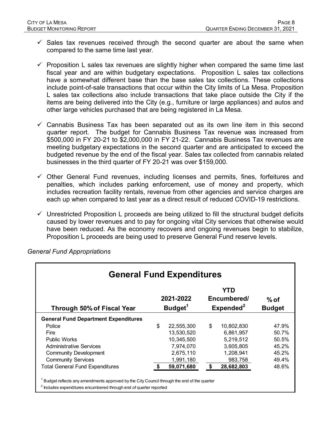- $\checkmark$  Sales tax revenues received through the second quarter are about the same when compared to the same time last year.
- $\checkmark$  Proposition L sales tax revenues are slightly higher when compared the same time last fiscal year and are within budgetary expectations. Proposition L sales tax collections have a somewhat different base than the base sales tax collections. These collections include point-of-sale transactions that occur within the City limits of La Mesa. Proposition L sales tax collections also include transactions that take place outside the City if the items are being delivered into the City (e.g., furniture or large appliances) and autos and other large vehicles purchased that are being registered in La Mesa.
- $\checkmark$  Cannabis Business Tax has been separated out as its own line item in this second quarter report. The budget for Cannabis Business Tax revenue was increased from \$500,000 in FY 20-21 to \$2,000,000 in FY 21-22. Cannabis Business Tax revenues are meeting budgetary expectations in the second quarter and are anticipated to exceed the budgeted revenue by the end of the fiscal year. Sales tax collected from cannabis related businesses in the third quarter of FY 20-21 was over \$159,000.
- $\checkmark$  Other General Fund revenues, including licenses and permits, fines, forfeitures and penalties, which includes parking enforcement, use of money and property, which includes recreation facility rentals, revenue from other agencies and service charges are each up when compared to last year as a direct result of reduced COVID-19 restrictions.
- $\checkmark$  Unrestricted Proposition L proceeds are being utilized to fill the structural budget deficits caused by lower revenues and to pay for ongoing vital City services that otherwise would have been reduced. As the economy recovers and ongoing revenues begin to stabilize, Proposition L proceeds are being used to preserve General Fund reserve levels.

| <b>General Fund Expenditures</b>            |                                                                                 |            |    |            |       |  |                         |  |
|---------------------------------------------|---------------------------------------------------------------------------------|------------|----|------------|-------|--|-------------------------|--|
| Through 50% of Fiscal Year                  | YTD<br>2021-2022<br>Encumbered/<br>Budget <sup>1</sup><br>Expected <sup>2</sup> |            |    |            |       |  | $%$ of<br><b>Budget</b> |  |
| <b>General Fund Department Expenditures</b> |                                                                                 |            |    |            |       |  |                         |  |
| Police                                      | \$                                                                              | 22,555,300 | \$ | 10,802,830 | 47.9% |  |                         |  |
| Fire                                        |                                                                                 | 13,530,520 |    | 6,861,957  | 50.7% |  |                         |  |
| <b>Public Works</b>                         |                                                                                 | 10,345,500 |    | 5,219,512  | 50.5% |  |                         |  |
| <b>Administrative Services</b>              |                                                                                 | 7,974,070  |    | 3,605,805  | 45.2% |  |                         |  |
| <b>Community Development</b>                |                                                                                 | 2,675,110  |    | 1,208,941  | 45.2% |  |                         |  |
| <b>Community Services</b>                   |                                                                                 | 1,991,180  |    | 983,758    | 49.4% |  |                         |  |
| <b>Total General Fund Expenditures</b>      |                                                                                 | 59,071,680 | \$ | 28,682,803 | 48.6% |  |                         |  |

*General Fund Appropriations*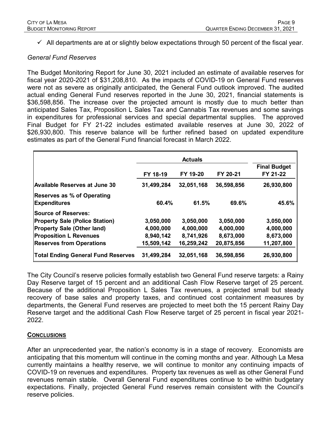$\checkmark$  All departments are at or slightly below expectations through 50 percent of the fiscal year.

#### *General Fund Reserves*

The Budget Monitoring Report for June 30, 2021 included an estimate of available reserves for fiscal year 2020-2021 of \$31,208,810. As the impacts of COVID-19 on General Fund reserves were not as severe as originally anticipated, the General Fund outlook improved. The audited actual ending General Fund reserves reported in the June 30, 2021, financial statements is \$36,598,856. The increase over the projected amount is mostly due to much better than anticipated Sales Tax, Proposition L Sales Tax and Cannabis Tax revenues and some savings in expenditures for professional services and special departmental supplies. The approved Final Budget for FY 21-22 includes estimated available reserves at June 30, 2022 of \$26,930,800. This reserve balance will be further refined based on updated expenditure estimates as part of the General Fund financial forecast in March 2022.

|                                                          |            | <b>Final Budget</b> |            |            |
|----------------------------------------------------------|------------|---------------------|------------|------------|
|                                                          | FY 18-19   | FY 19-20            | FY 20-21   | FY 21-22   |
| Available Reserves at June 30                            | 31,499,284 | 32,051,168          | 36,598,856 | 26,930,800 |
| <b>Reserves as % of Operating</b><br><b>Expenditures</b> | 60.4%      | 61.5%               | 69.6%      | 45.6%      |
| <b>Source of Reserves:</b>                               |            |                     |            |            |
| <b>Property Sale (Police Station)</b>                    | 3,050,000  | 3,050,000           | 3,050,000  | 3,050,000  |
| <b>Property Sale (Other land)</b>                        | 4,000,000  | 4,000,000           | 4,000,000  | 4,000,000  |
| <b>Proposition L Revenues</b>                            | 8,940,142  | 8,741,926           | 8,673,000  | 8,673,000  |
| <b>Reserves from Operations</b>                          | 15,509,142 | 16,259,242          | 20,875,856 | 11,207,800 |
| <b>Total Ending General Fund Reserves</b>                | 31,499,284 | 32,051,168          | 36,598,856 | 26,930,800 |

The City Council's reserve policies formally establish two General Fund reserve targets: a Rainy Day Reserve target of 15 percent and an additional Cash Flow Reserve target of 25 percent. Because of the additional Proposition L Sales Tax revenues, a projected small but steady recovery of base sales and property taxes, and continued cost containment measures by departments, the General Fund reserves are projected to meet both the 15 percent Rainy Day Reserve target and the additional Cash Flow Reserve target of 25 percent in fiscal year 2021- 2022.

#### **CONCLUSIONS**

After an unprecedented year, the nation's economy is in a stage of recovery. Economists are anticipating that this momentum will continue in the coming months and year. Although La Mesa currently maintains a healthy reserve, we will continue to monitor any continuing impacts of COVID-19 on revenues and expenditures. Property tax revenues as well as other General Fund revenues remain stable. Overall General Fund expenditures continue to be within budgetary expectations. Finally, projected General Fund reserves remain consistent with the Council's reserve policies.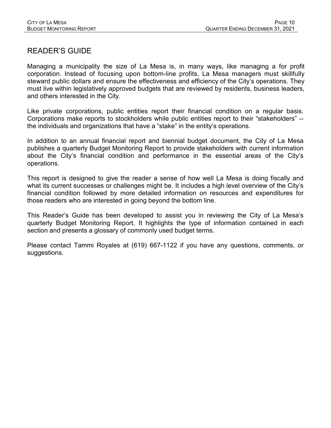## READER'S GUIDE

Managing a municipality the size of La Mesa is, in many ways, like managing a for profit corporation. Instead of focusing upon bottom-line profits, La Mesa managers must skillfully steward public dollars and ensure the effectiveness and efficiency of the City's operations. They must live within legislatively approved budgets that are reviewed by residents, business leaders, and others interested in the City.

Like private corporations, public entities report their financial condition on a regular basis. Corporations make reports to stockholders while public entities report to their "stakeholders" - the individuals and organizations that have a "stake" in the entity's operations.

In addition to an annual financial report and biennial budget document, the City of La Mesa publishes a quarterly Budget Monitoring Report to provide stakeholders with current information about the City's financial condition and performance in the essential areas of the City's operations.

This report is designed to give the reader a sense of how well La Mesa is doing fiscally and what its current successes or challenges might be. It includes a high level overview of the City's financial condition followed by more detailed information on resources and expenditures for those readers who are interested in going beyond the bottom line.

This Reader's Guide has been developed to assist you in reviewing the City of La Mesa's quarterly Budget Monitoring Report. It highlights the type of information contained in each section and presents a glossary of commonly used budget terms.

Please contact Tammi Royales at (619) 667-1122 if you have any questions, comments, or suggestions.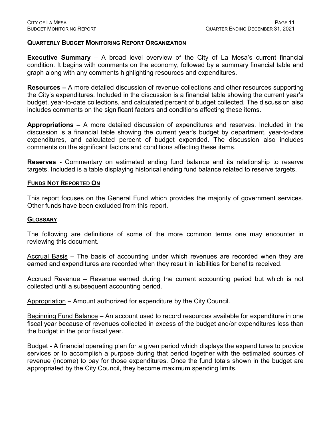#### **QUARTERLY BUDGET MONITORING REPORT ORGANIZATION**

**Executive Summary** – A broad level overview of the City of La Mesa's current financial condition. It begins with comments on the economy, followed by a summary financial table and graph along with any comments highlighting resources and expenditures.

**Resources –** A more detailed discussion of revenue collections and other resources supporting the City's expenditures. Included in the discussion is a financial table showing the current year's budget, year-to-date collections, and calculated percent of budget collected. The discussion also includes comments on the significant factors and conditions affecting these items.

**Appropriations –** A more detailed discussion of expenditures and reserves. Included in the discussion is a financial table showing the current year's budget by department, year-to-date expenditures, and calculated percent of budget expended. The discussion also includes comments on the significant factors and conditions affecting these items.

**Reserves -** Commentary on estimated ending fund balance and its relationship to reserve targets. Included is a table displaying historical ending fund balance related to reserve targets.

#### **FUNDS NOT REPORTED ON**

This report focuses on the General Fund which provides the majority of government services. Other funds have been excluded from this report.

#### **GLOSSARY**

The following are definitions of some of the more common terms one may encounter in reviewing this document.

Accrual Basis – The basis of accounting under which revenues are recorded when they are earned and expenditures are recorded when they result in liabilities for benefits received.

Accrued Revenue – Revenue earned during the current accounting period but which is not collected until a subsequent accounting period.

Appropriation – Amount authorized for expenditure by the City Council.

Beginning Fund Balance – An account used to record resources available for expenditure in one fiscal year because of revenues collected in excess of the budget and/or expenditures less than the budget in the prior fiscal year.

Budget - A financial operating plan for a given period which displays the expenditures to provide services or to accomplish a purpose during that period together with the estimated sources of revenue (income) to pay for those expenditures. Once the fund totals shown in the budget are appropriated by the City Council, they become maximum spending limits.